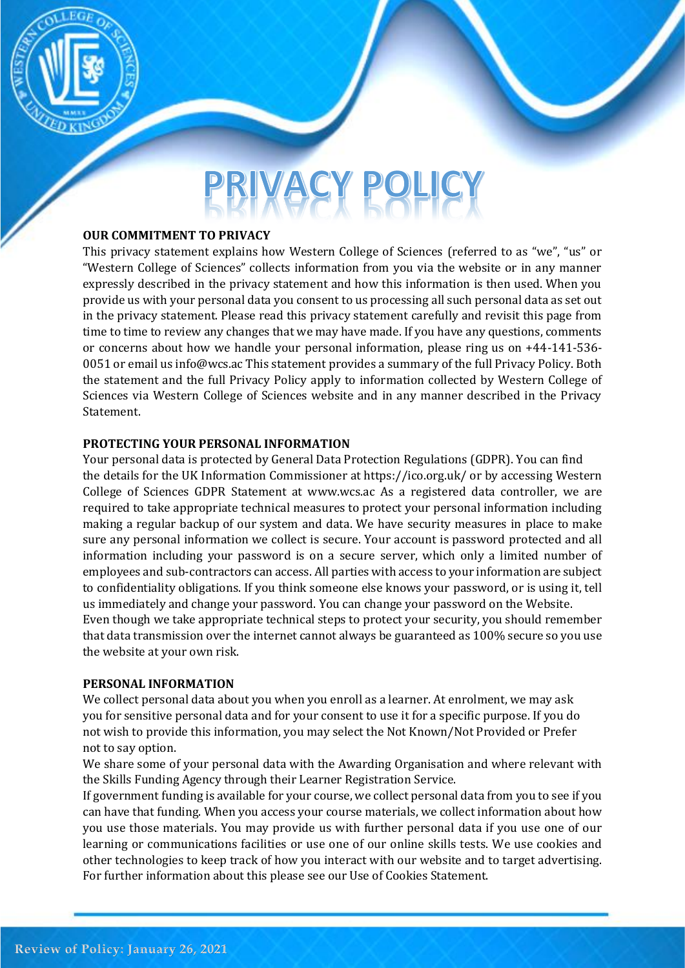

# **VACY POLI**

#### **OUR COMMITMENT TO PRIVACY**

This privacy statement explains how Western College of Sciences (referred to as "we", "us" or "Western College of Sciences" collects information from you via the website or in any manner expressly described in the privacy statement and how this information is then used. When you provide us with your personal data you consent to us processing all such personal data as set out in the privacy statement. Please read this privacy statement carefully and revisit this page from time to time to review any changes that we may have made. If you have any questions, comments or concerns about how we handle your personal information, please ring us on +44-141-536- 0051 or email us info@wcs.ac This statement provides a summary of the full Privacy Policy. Both the statement and the full Privacy Policy apply to information collected by Western College of Sciences via Western College of Sciences website and in any manner described in the Privacy Statement.

#### **PROTECTING YOUR PERSONAL INFORMATION**

Your personal data is protected by General Data Protection Regulations (GDPR). You can find the details for the UK Information Commissioner at https://ico.org.uk/ or by accessing Western College of Sciences GDPR Statement at www.wcs.ac As a registered data controller, we are required to take appropriate technical measures to protect your personal information including making a regular backup of our system and data. We have security measures in place to make sure any personal information we collect is secure. Your account is password protected and all information including your password is on a secure server, which only a limited number of employees and sub-contractors can access. All parties with access to your information are subject to confidentiality obligations. If you think someone else knows your password, or is using it, tell us immediately and change your password. You can change your password on the Website. Even though we take appropriate technical steps to protect your security, you should remember that data transmission over the internet cannot always be guaranteed as 100% secure so you use the website at your own risk.

#### **PERSONAL INFORMATION**

We collect personal data about you when you enroll as a learner. At enrolment, we may ask you for sensitive personal data and for your consent to use it for a specific purpose. If you do not wish to provide this information, you may select the Not Known/Not Provided or Prefer not to say option.

We share some of your personal data with the Awarding Organisation and where relevant with the Skills Funding Agency through their Learner Registration Service.

If government funding is available for your course, we collect personal data from you to see if you can have that funding. When you access your course materials, we collect information about how you use those materials. You may provide us with further personal data if you use one of our learning or communications facilities or use one of our online skills tests. We use cookies and other technologies to keep track of how you interact with our website and to target advertising. For further information about this please see our Use of Cookies Statement.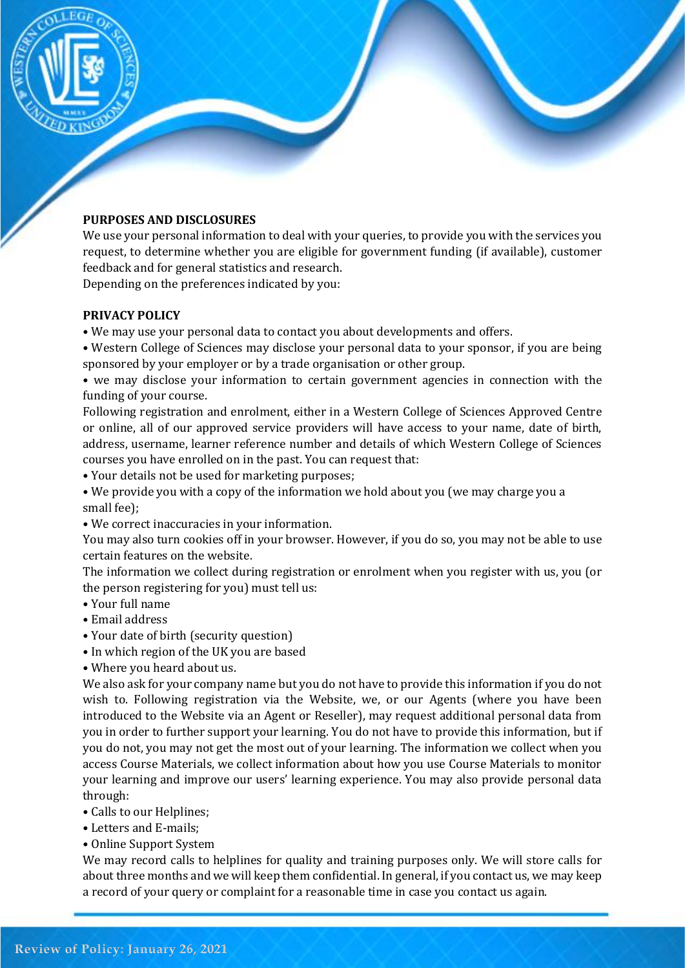

# **PURPOSES AND DISCLOSURES**

We use your personal information to deal with your queries, to provide you with the services you request, to determine whether you are eligible for government funding (if available), customer feedback and for general statistics and research.

Depending on the preferences indicated by you:

# **PRIVACY POLICY**

- We may use your personal data to contact you about developments and offers.
- Western College of Sciences may disclose your personal data to your sponsor, if you are being sponsored by your employer or by a trade organisation or other group.
- we may disclose your information to certain government agencies in connection with the funding of your course.

Following registration and enrolment, either in a Western College of Sciences Approved Centre or online, all of our approved service providers will have access to your name, date of birth, address, username, learner reference number and details of which Western College of Sciences courses you have enrolled on in the past. You can request that:

- Your details not be used for marketing purposes;
- We provide you with a copy of the information we hold about you (we may charge you a small fee);
- We correct inaccuracies in your information.

You may also turn cookies off in your browser. However, if you do so, you may not be able to use certain features on the website.

The information we collect during registration or enrolment when you register with us, you (or the person registering for you) must tell us:

- Your full name
- Email address
- Your date of birth (security question)
- In which region of the UK you are based
- Where you heard about us.

We also ask for your company name but you do not have to provide this information if you do not wish to. Following registration via the Website, we, or our Agents (where you have been introduced to the Website via an Agent or Reseller), may request additional personal data from you in order to further support your learning. You do not have to provide this information, but if you do not, you may not get the most out of your learning. The information we collect when you access Course Materials, we collect information about how you use Course Materials to monitor your learning and improve our users' learning experience. You may also provide personal data through:

- Calls to our Helplines;
- Letters and E-mails;
- Online Support System

We may record calls to helplines for quality and training purposes only. We will store calls for about three months and we will keep them confidential. In general, if you contact us, we may keep a record of your query or complaint for a reasonable time in case you contact us again.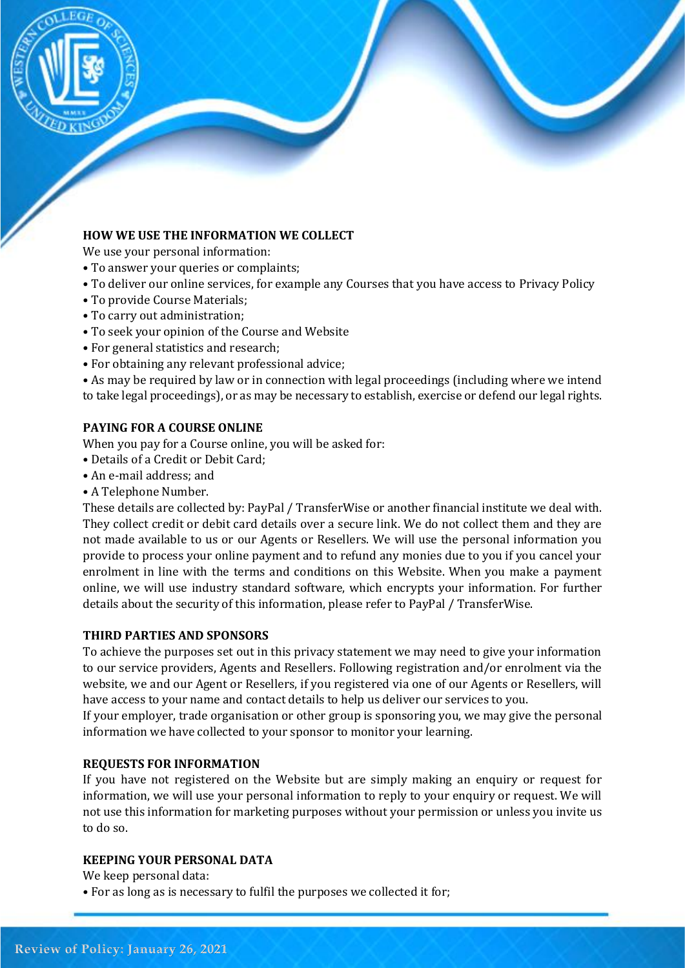

# **HOW WE USE THE INFORMATION WE COLLECT**

We use your personal information:

- To answer your queries or complaints;
- To deliver our online services, for example any Courses that you have access to Privacy Policy
- To provide Course Materials;
- To carry out administration;
- To seek your opinion of the Course and Website
- For general statistics and research;
- For obtaining any relevant professional advice;

• As may be required by law or in connection with legal proceedings (including where we intend to take legal proceedings), or as may be necessary to establish, exercise or defend our legal rights.

#### **PAYING FOR A COURSE ONLINE**

When you pay for a Course online, you will be asked for:

- Details of a Credit or Debit Card;
- An e-mail address; and
- A Telephone Number.

These details are collected by: PayPal / TransferWise or another financial institute we deal with. They collect credit or debit card details over a secure link. We do not collect them and they are not made available to us or our Agents or Resellers. We will use the personal information you provide to process your online payment and to refund any monies due to you if you cancel your enrolment in line with the terms and conditions on this Website. When you make a payment online, we will use industry standard software, which encrypts your information. For further details about the security of this information, please refer to PayPal / TransferWise.

#### **THIRD PARTIES AND SPONSORS**

To achieve the purposes set out in this privacy statement we may need to give your information to our service providers, Agents and Resellers. Following registration and/or enrolment via the website, we and our Agent or Resellers, if you registered via one of our Agents or Resellers, will have access to your name and contact details to help us deliver our services to you.

If your employer, trade organisation or other group is sponsoring you, we may give the personal information we have collected to your sponsor to monitor your learning.

#### **REQUESTS FOR INFORMATION**

If you have not registered on the Website but are simply making an enquiry or request for information, we will use your personal information to reply to your enquiry or request. We will not use this information for marketing purposes without your permission or unless you invite us to do so.

#### **KEEPING YOUR PERSONAL DATA**

We keep personal data:

• For as long as is necessary to fulfil the purposes we collected it for;